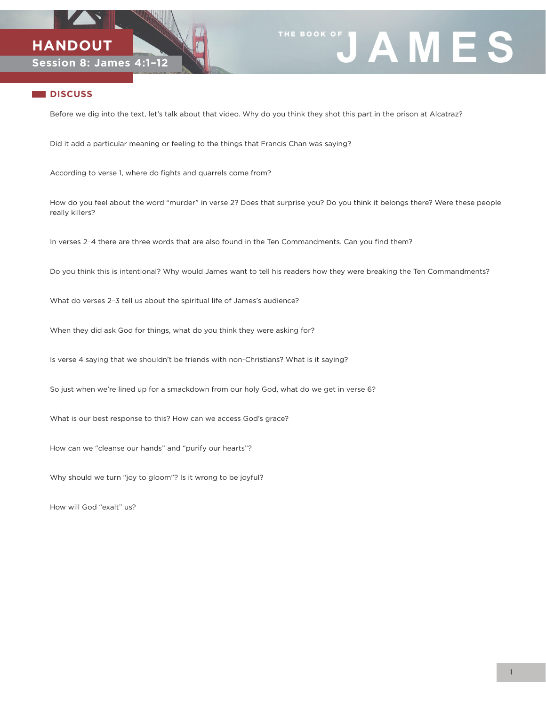



## **DISCUSS**

Before we dig into the text, let's talk about that video. Why do you think they shot this part in the prison at Alcatraz?

Did it add a particular meaning or feeling to the things that Francis Chan was saying?

According to verse 1, where do fights and quarrels come from?

How do you feel about the word "murder" in verse 2? Does that surprise you? Do you think it belongs there? Were these people really killers?

In verses 2–4 there are three words that are also found in the Ten Commandments. Can you find them?

Do you think this is intentional? Why would James want to tell his readers how they were breaking the Ten Commandments?

What do verses 2–3 tell us about the spiritual life of James's audience?

When they did ask God for things, what do you think they were asking for?

Is verse 4 saying that we shouldn't be friends with non-Christians? What is it saying?

So just when we're lined up for a smackdown from our holy God, what do we get in verse 6?

What is our best response to this? How can we access God's grace?

How can we "cleanse our hands" and "purify our hearts"?

Why should we turn "joy to gloom"? Is it wrong to be joyful?

How will God "exalt" us?